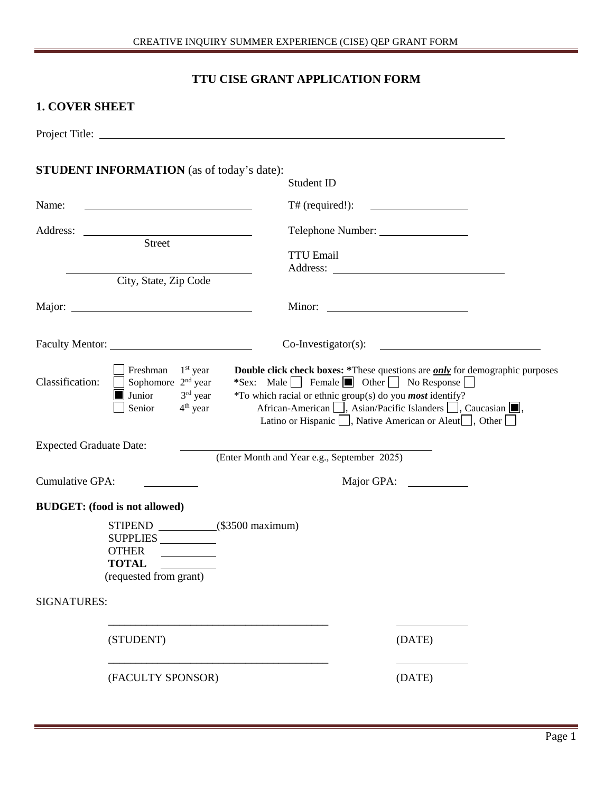# **TTU CISE GRANT APPLICATION FORM**

### **1. COVER SHEET**

| <b>STUDENT INFORMATION</b> (as of today's date):                                                                                                            | Student ID                                                                                                                                                                                                                                                                                                                                                                                           |
|-------------------------------------------------------------------------------------------------------------------------------------------------------------|------------------------------------------------------------------------------------------------------------------------------------------------------------------------------------------------------------------------------------------------------------------------------------------------------------------------------------------------------------------------------------------------------|
| Name:<br><u> 1980 - Johann Barn, mars eta bainar eta baina eta baina eta baina eta baina eta baina eta baina eta baina e</u>                                | $T#$ (required!):                                                                                                                                                                                                                                                                                                                                                                                    |
|                                                                                                                                                             |                                                                                                                                                                                                                                                                                                                                                                                                      |
| Street                                                                                                                                                      | <b>TTU Email</b>                                                                                                                                                                                                                                                                                                                                                                                     |
| City, State, Zip Code                                                                                                                                       |                                                                                                                                                                                                                                                                                                                                                                                                      |
|                                                                                                                                                             | Minor: $\qquad \qquad$                                                                                                                                                                                                                                                                                                                                                                               |
|                                                                                                                                                             | $Co-Investigator(s):$                                                                                                                                                                                                                                                                                                                                                                                |
| Freshman<br>$1st$ year<br>Classification:<br>Sophomore 2 <sup>nd</sup> year<br>3rd year<br>Junior<br>Senior<br>$4th$ year<br><b>Expected Graduate Date:</b> | <b>Double click check boxes:</b> *These questions are <i>only</i> for demographic purposes<br>*Sex: Male Female Other No Response<br>*To which racial or ethnic group(s) do you <i>most</i> identify?<br>African-American   , Asian/Pacific Islanders   , Caucasian   ,<br>Latino or Hispanic $\Box$ , Native American or Aleut $\Box$ , Other $\Box$<br>(Enter Month and Year e.g., September 2025) |
| Cumulative GPA:                                                                                                                                             | Major GPA:                                                                                                                                                                                                                                                                                                                                                                                           |
| <b>BUDGET:</b> (food is not allowed)                                                                                                                        |                                                                                                                                                                                                                                                                                                                                                                                                      |
| STIPEND (\$3500 maximum)<br>SUPPLIES<br>OTHER<br><b>TOTAL</b><br>(requested from grant)                                                                     |                                                                                                                                                                                                                                                                                                                                                                                                      |
| <b>SIGNATURES:</b>                                                                                                                                          |                                                                                                                                                                                                                                                                                                                                                                                                      |
| (STUDENT)                                                                                                                                                   | (DATE)                                                                                                                                                                                                                                                                                                                                                                                               |
| (FACULTY SPONSOR)                                                                                                                                           | (DATE)                                                                                                                                                                                                                                                                                                                                                                                               |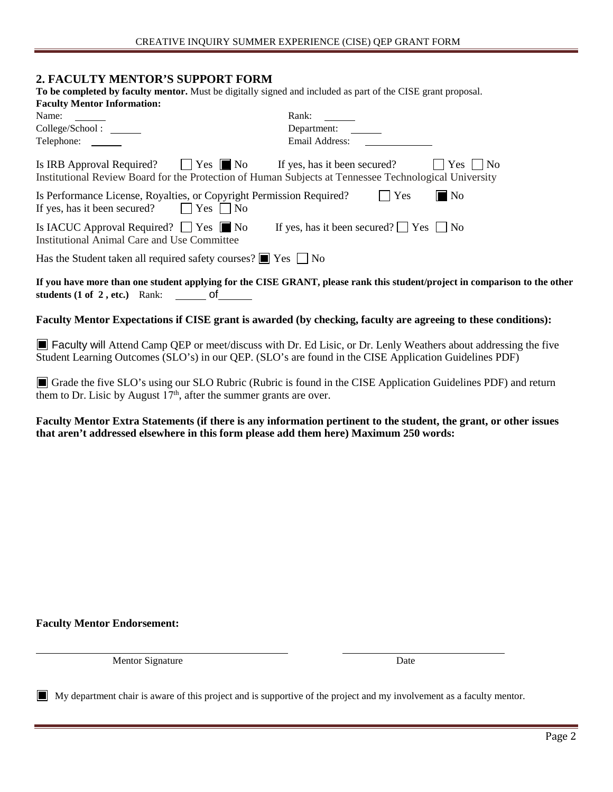#### **2. FACULTY MENTOR'S SUPPORT FORM**

| To be completed by faculty mentor. Must be digitally signed and included as part of the CISE grant proposal.              |                                                                                                                     |
|---------------------------------------------------------------------------------------------------------------------------|---------------------------------------------------------------------------------------------------------------------|
| <b>Faculty Mentor Information:</b><br>Name:                                                                               | Rank:                                                                                                               |
| College/School:                                                                                                           | Department:                                                                                                         |
| Telephone:                                                                                                                | Email Address:                                                                                                      |
| Is IRB Approval Required? $\Box$ Yes $\Box$ No If yes, has it been secured?                                               | Yes     No<br>Institutional Review Board for the Protection of Human Subjects at Tennessee Technological University |
| Is Performance License, Royalties, or Copyright Permission Required?<br>If yes, has it been secured? $\Box$ Yes $\Box$ No | Yes<br>$\blacksquare$ No                                                                                            |
| Is IACUC Approval Required? $\Box$ Yes $\Box$ No<br>Institutional Animal Care and Use Committee                           | If yes, has it been secured? $\Box$ Yes $\Box$ No                                                                   |
| Has the Student taken all required safety courses? $\Box$ Yes $\Box$ No                                                   |                                                                                                                     |

**If you have more than one student applying for the CISE GRANT, please rank this student/project in comparison to the other students (1 of 2 , etc.)** Rank: of

**Faculty Mentor Expectations if CISE grant is awarded (by checking, faculty are agreeing to these conditions):** 

Faculty will Attend Camp QEP or meet/discuss with Dr. Ed Lisic, or Dr. Lenly Weathers about addressing the five Student Learning Outcomes (SLO's) in our QEP. (SLO's are found in the CISE Application Guidelines PDF)

Grade the five SLO's using our SLO Rubric (Rubric is found in the CISE Application Guidelines PDF) and return them to Dr. Lisic by August  $17<sup>th</sup>$ , after the summer grants are over.

**Faculty Mentor Extra Statements (if there is any information pertinent to the student, the grant, or other issues that aren't addressed elsewhere in this form please add them here) Maximum 250 words:**

**Faculty Mentor Endorsement:** 

Mentor Signature Date

My department chair is aware of this project and is supportive of the project and my involvement as a faculty mentor.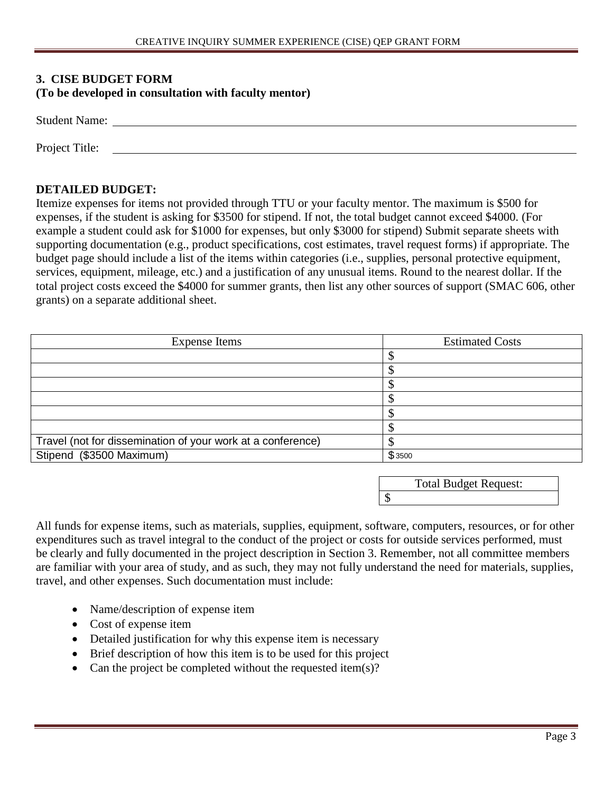#### **3. CISE BUDGET FORM (To be developed in consultation with faculty mentor)**

| <b>Student Name:</b> |  |
|----------------------|--|
|                      |  |
| Project Title:       |  |

#### **DETAILED BUDGET:**

Itemize expenses for items not provided through TTU or your faculty mentor. The maximum is \$500 for expenses, if the student is asking for \$3500 for stipend. If not, the total budget cannot exceed \$4000. (For example a student could ask for \$1000 for expenses, but only \$3000 for stipend) Submit separate sheets with supporting documentation (e.g., product specifications, cost estimates, travel request forms) if appropriate. The budget page should include a list of the items within categories (i.e., supplies, personal protective equipment, services, equipment, mileage, etc.) and a justification of any unusual items. Round to the nearest dollar. If the total project costs exceed the \$4000 for summer grants, then list any other sources of support (SMAC 606, other grants) on a separate additional sheet.

| <b>Expense Items</b>                                        | <b>Estimated Costs</b> |
|-------------------------------------------------------------|------------------------|
|                                                             |                        |
|                                                             |                        |
|                                                             |                        |
|                                                             |                        |
|                                                             |                        |
|                                                             |                        |
| Travel (not for dissemination of your work at a conference) |                        |
| Stipend (\$3500 Maximum)                                    | \$3500                 |

| <b>Total Budget Request:</b> |
|------------------------------|
|                              |

\$

All funds for expense items, such as materials, supplies, equipment, software, computers, resources, or for other expenditures such as travel integral to the conduct of the project or costs for outside services performed, must be clearly and fully documented in the project description in Section 3. Remember, not all committee members are familiar with your area of study, and as such, they may not fully understand the need for materials, supplies, travel, and other expenses. Such documentation must include:

- Name/description of expense item
- Cost of expense item
- Detailed justification for why this expense item is necessary
- Brief description of how this item is to be used for this project
- Can the project be completed without the requested item(s)?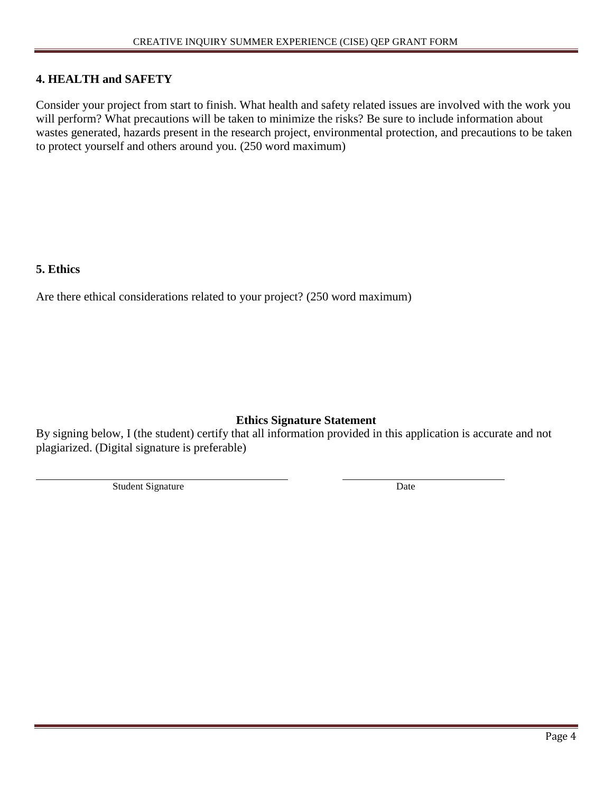#### **4. HEALTH and SAFETY**

Consider your project from start to finish. What health and safety related issues are involved with the work you will perform? What precautions will be taken to minimize the risks? Be sure to include information about wastes generated, hazards present in the research project, environmental protection, and precautions to be taken to protect yourself and others around you. (250 word maximum)

### **5. Ethics**

Are there ethical considerations related to your project? (250 word maximum)

### **Ethics Signature Statement**

By signing below, I (the student) certify that all information provided in this application is accurate and not plagiarized. (Digital signature is preferable)

Student Signature Date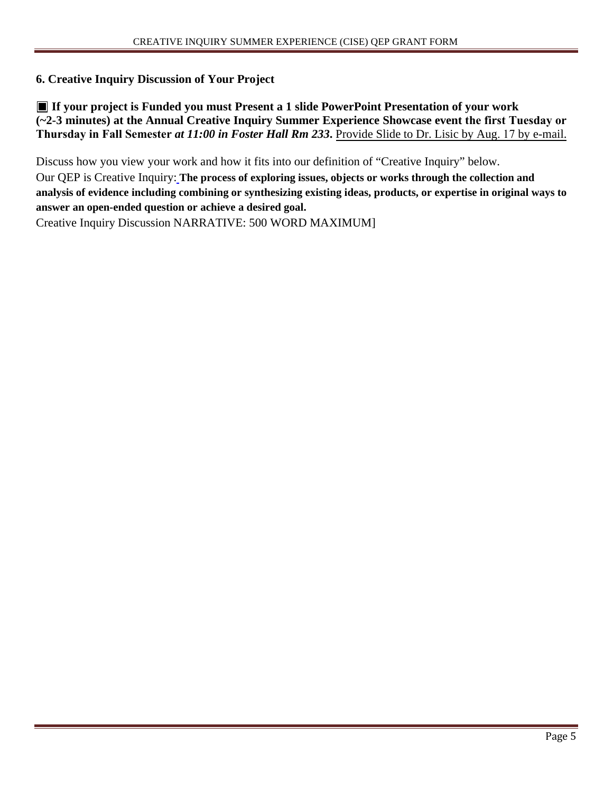#### **6. Creative Inquiry Discussion of Your Project**

**If your project is Funded you must Present a 1 slide PowerPoint Presentation of your work (~2-3 minutes) at the Annual Creative Inquiry Summer Experience Showcase event the first Tuesday or Thursday in Fall Semester** *at 11:00 in Foster Hall Rm 233***.** Provide Slide to Dr. Lisic by Aug. 17 by e-mail.

Discuss how you view your work and how it fits into our definition of "Creative Inquiry" below. Our QEP is Creative Inquiry: **The process of exploring issues, objects or works through the collection and analysis of evidence including combining or synthesizing existing ideas, products, or expertise in original ways to answer an open-ended question or achieve a desired goal.** Creative Inquiry Discussion NARRATIVE: 500 WORD MAXIMUM]